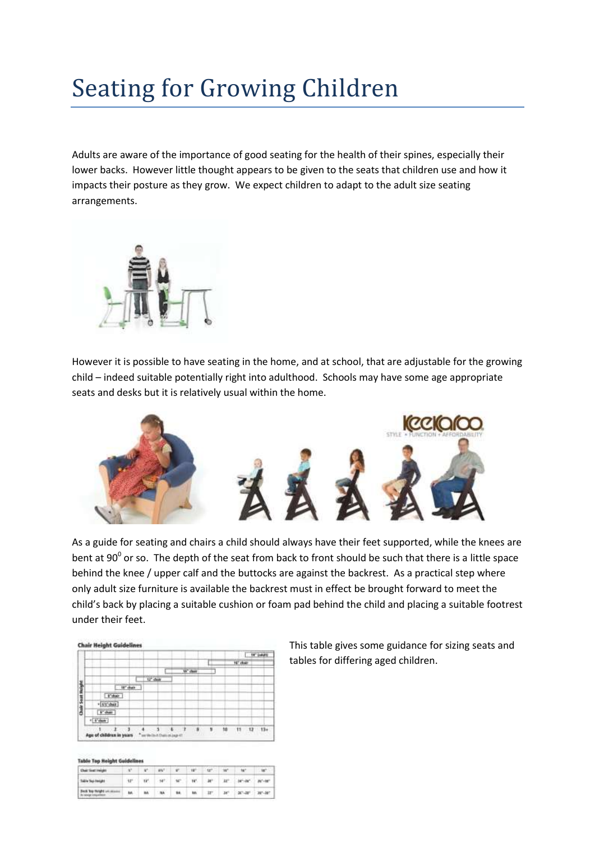## Seating for Growing Children

Adults are aware of the importance of good seating for the health of their spines, especially their lower backs. However little thought appears to be given to the seats that children use and how it impacts their posture as they grow. We expect children to adapt to the adult size seating arrangements.



However it is possible to have seating in the home, and at school, that are adjustable for the growing child – indeed suitable potentially right into adulthood. Schools may have some age appropriate seats and desks but it is relatively usual within the home.



As a guide for seating and chairs a child should always have their feet supported, while the knees are bent at 90 $^{\circ}$  or so. The depth of the seat from back to front should be such that there is a little space behind the knee / upper calf and the buttocks are against the backrest. As a practical step where only adult size furniture is available the backrest must in effect be brought forward to meet the child's back by placing a suitable cushion or foam pad behind the child and placing a suitable footrest under their feet.

|                 |              |                  |                     |  |        |   |           | r. | <b>FET EMMIN</b> |
|-----------------|--------------|------------------|---------------------|--|--------|---|-----------|----|------------------|
|                 |              |                  |                     |  |        | × | 16" chair |    |                  |
|                 |              |                  |                     |  | W' dan |   |           |    |                  |
| Ξ               |              |                  | 11 <sup>'</sup> day |  |        |   |           |    |                  |
|                 |              | <b>MC dealer</b> |                     |  |        |   |           |    |                  |
|                 | 4"diam       |                  |                     |  |        |   |           |    |                  |
|                 | * 6'0' char  |                  |                     |  |        |   |           |    |                  |
| Clude Sout Holy | F dust       |                  |                     |  |        |   |           |    |                  |
|                 | $+$ [1"date] |                  |                     |  |        |   |           |    |                  |

This table gives some guidance for sizing seats and tables for differing aged children.

|  | Table Top Height Guidelines |  |
|--|-----------------------------|--|
|  |                             |  |

| Chair Seat Insight            |    | $h^{\mu}$ and    | $V = W - W$ | w |                                                                        |  |
|-------------------------------|----|------------------|-------------|---|------------------------------------------------------------------------|--|
| Table Sup Height              |    |                  |             |   | 10" 10" 10" 10" 10" 20" 20" 20" 20" 20"                                |  |
| Deck Top thought are attacked | M. | M. . M. M. M. 37 |             |   | $W^{\prime}$ , $W^{\prime}$ of $W^{\prime}$ , $W^{\prime}$ of $\prime$ |  |